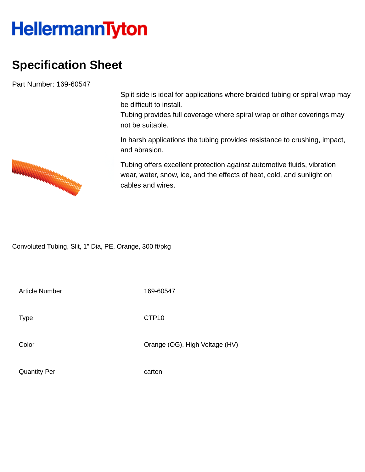## **HellermannTyton**

## **Specification Sheet**

Part Number: 169-60547

Split side is ideal for applications where braided tubing or spiral wrap may be difficult to install.

Tubing provides full coverage where spiral wrap or other coverings may not be suitable.

In harsh applications the tubing provides resistance to crushing, impact, and abrasion.

Tubing offers excellent protection against automotive fluids, vibration wear, water, snow, ice, and the effects of heat, cold, and sunlight on cables and wires.

Convoluted Tubing, Slit, 1" Dia, PE, Orange, 300 ft/pkg

Article Number 169-60547

Type **CTP10** 

Color Color Color Color Color Color Color Color Color Color Color Color Color Color Color Color Color Color Co

Quantity Per carton

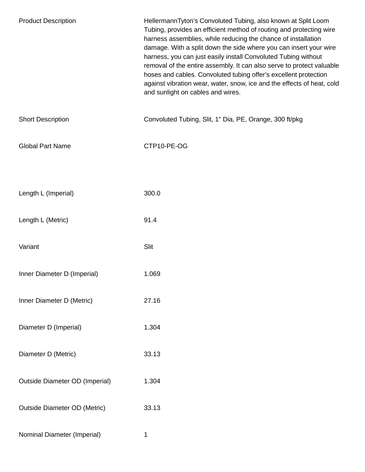| <b>Product Description</b>            | HellermannTyton's Convoluted Tubing, also known at Split Loom<br>Tubing, provides an efficient method of routing and protecting wire<br>harness assemblies, while reducing the chance of installation<br>damage. With a split down the side where you can insert your wire<br>harness, you can just easily install Convoluted Tubing without<br>removal of the entire assembly. It can also serve to protect valuable<br>hoses and cables. Convoluted tubing offer's excellent protection<br>against vibration wear, water, snow, ice and the effects of heat, cold<br>and sunlight on cables and wires. |
|---------------------------------------|----------------------------------------------------------------------------------------------------------------------------------------------------------------------------------------------------------------------------------------------------------------------------------------------------------------------------------------------------------------------------------------------------------------------------------------------------------------------------------------------------------------------------------------------------------------------------------------------------------|
| <b>Short Description</b>              | Convoluted Tubing, Slit, 1" Dia, PE, Orange, 300 ft/pkg                                                                                                                                                                                                                                                                                                                                                                                                                                                                                                                                                  |
| <b>Global Part Name</b>               | CTP10-PE-OG                                                                                                                                                                                                                                                                                                                                                                                                                                                                                                                                                                                              |
|                                       |                                                                                                                                                                                                                                                                                                                                                                                                                                                                                                                                                                                                          |
| Length L (Imperial)                   | 300.0                                                                                                                                                                                                                                                                                                                                                                                                                                                                                                                                                                                                    |
| Length L (Metric)                     | 91.4                                                                                                                                                                                                                                                                                                                                                                                                                                                                                                                                                                                                     |
| Variant                               | Slit                                                                                                                                                                                                                                                                                                                                                                                                                                                                                                                                                                                                     |
| Inner Diameter D (Imperial)           | 1.069                                                                                                                                                                                                                                                                                                                                                                                                                                                                                                                                                                                                    |
| Inner Diameter D (Metric)             | 27.16                                                                                                                                                                                                                                                                                                                                                                                                                                                                                                                                                                                                    |
| Diameter D (Imperial)                 | 1.304                                                                                                                                                                                                                                                                                                                                                                                                                                                                                                                                                                                                    |
| Diameter D (Metric)                   | 33.13                                                                                                                                                                                                                                                                                                                                                                                                                                                                                                                                                                                                    |
| <b>Outside Diameter OD (Imperial)</b> | 1.304                                                                                                                                                                                                                                                                                                                                                                                                                                                                                                                                                                                                    |
| <b>Outside Diameter OD (Metric)</b>   | 33.13                                                                                                                                                                                                                                                                                                                                                                                                                                                                                                                                                                                                    |
| Nominal Diameter (Imperial)           | 1                                                                                                                                                                                                                                                                                                                                                                                                                                                                                                                                                                                                        |